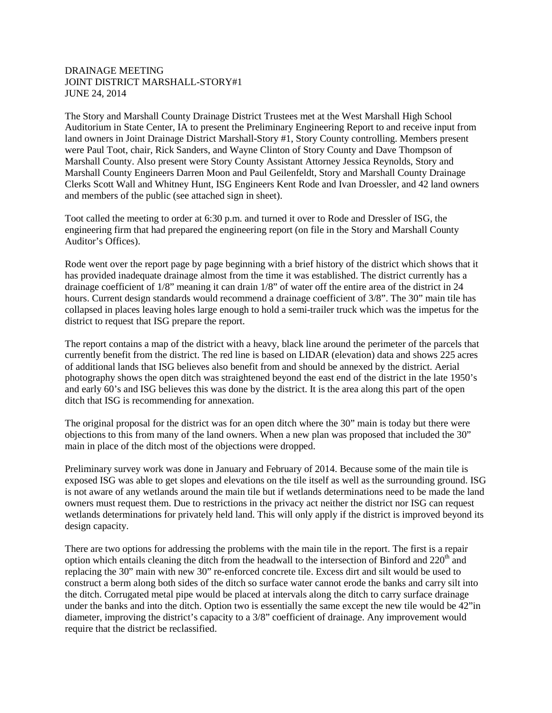## DRAINAGE MEETING JOINT DISTRICT MARSHALL-STORY#1 JUNE 24, 2014

The Story and Marshall County Drainage District Trustees met at the West Marshall High School Auditorium in State Center, IA to present the Preliminary Engineering Report to and receive input from land owners in Joint Drainage District Marshall-Story #1, Story County controlling. Members present were Paul Toot, chair, Rick Sanders, and Wayne Clinton of Story County and Dave Thompson of Marshall County. Also present were Story County Assistant Attorney Jessica Reynolds, Story and Marshall County Engineers Darren Moon and Paul Geilenfeldt, Story and Marshall County Drainage Clerks Scott Wall and Whitney Hunt, ISG Engineers Kent Rode and Ivan Droessler, and 42 land owners and members of the public (see attached sign in sheet).

Toot called the meeting to order at 6:30 p.m. and turned it over to Rode and Dressler of ISG, the engineering firm that had prepared the engineering report (on file in the Story and Marshall County Auditor's Offices).

Rode went over the report page by page beginning with a brief history of the district which shows that it has provided inadequate drainage almost from the time it was established. The district currently has a drainage coefficient of 1/8" meaning it can drain 1/8" of water off the entire area of the district in 24 hours. Current design standards would recommend a drainage coefficient of  $3/8$ ". The 30" main tile has collapsed in places leaving holes large enough to hold a semi-trailer truck which was the impetus for the district to request that ISG prepare the report.

The report contains a map of the district with a heavy, black line around the perimeter of the parcels that currently benefit from the district. The red line is based on LIDAR (elevation) data and shows 225 acres of additional lands that ISG believes also benefit from and should be annexed by the district. Aerial photography shows the open ditch was straightened beyond the east end of the district in the late 1950's and early 60's and ISG believes this was done by the district. It is the area along this part of the open ditch that ISG is recommending for annexation.

The original proposal for the district was for an open ditch where the 30" main is today but there were objections to this from many of the land owners. When a new plan was proposed that included the 30" main in place of the ditch most of the objections were dropped.

Preliminary survey work was done in January and February of 2014. Because some of the main tile is exposed ISG was able to get slopes and elevations on the tile itself as well as the surrounding ground. ISG is not aware of any wetlands around the main tile but if wetlands determinations need to be made the land owners must request them. Due to restrictions in the privacy act neither the district nor ISG can request wetlands determinations for privately held land. This will only apply if the district is improved beyond its design capacity.

There are two options for addressing the problems with the main tile in the report. The first is a repair option which entails cleaning the ditch from the headwall to the intersection of Binford and 220<sup>th</sup> and replacing the 30" main with new 30" re-enforced concrete tile. Excess dirt and silt would be used to construct a berm along both sides of the ditch so surface water cannot erode the banks and carry silt into the ditch. Corrugated metal pipe would be placed at intervals along the ditch to carry surface drainage under the banks and into the ditch. Option two is essentially the same except the new tile would be 42"in diameter, improving the district's capacity to a 3/8" coefficient of drainage. Any improvement would require that the district be reclassified.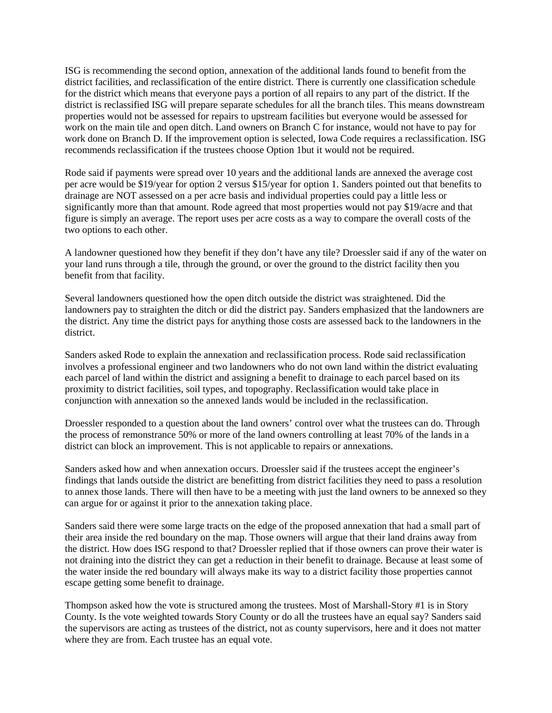ISG is recommending the second option, annexation of the additional lands found to benefit from the district facilities, and reclassification of the entire district. There is currently one classification schedule for the district which means that everyone pays a portion of all repairs to any part of the district. If the district is reclassified ISG will prepare separate schedules for all the branch tiles. This means downstream properties would not be assessed for repairs to upstream facilities but everyone would be assessed for work on the main tile and open ditch. Land owners on Branch C for instance, would not have to pay for work done on Branch D. If the improvement option is selected, Iowa Code requires a reclassification. ISG recommends reclassification if the trustees choose Option 1but it would not be required.

Rode said if payments were spread over 10 years and the additional lands are annexed the average cost per acre would be \$19/year for option 2 versus \$15/year for option 1. Sanders pointed out that benefits to drainage are NOT assessed on a per acre basis and individual properties could pay a little less or significantly more than that amount. Rode agreed that most properties would not pay \$19/acre and that figure is simply an average. The report uses per acre costs as a way to compare the overall costs of the two options to each other.

A landowner questioned how they benefit if they don't have any tile? Droessler said if any of the water on your land runs through a tile, through the ground, or over the ground to the district facility then you benefit from that facility.

Several landowners questioned how the open ditch outside the district was straightened. Did the landowners pay to straighten the ditch or did the district pay. Sanders emphasized that the landowners are the district. Any time the district pays for anything those costs are assessed back to the landowners in the district.

Sanders asked Rode to explain the annexation and reclassification process. Rode said reclassification involves a professional engineer and two landowners who do not own land within the district evaluating each parcel of land within the district and assigning a benefit to drainage to each parcel based on its proximity to district facilities, soil types, and topography. Reclassification would take place in conjunction with annexation so the annexed lands would be included in the reclassification.

Droessler responded to a question about the land owners' control over what the trustees can do. Through the process of remonstrance 50% or more of the land owners controlling at least 70% of the lands in a district can block an improvement. This is not applicable to repairs or annexations.

Sanders asked how and when annexation occurs. Droessler said if the trustees accept the engineer's findings that lands outside the district are benefitting from district facilities they need to pass a resolution to annex those lands. There will then have to be a meeting with just the land owners to be annexed so they can argue for or against it prior to the annexation taking place.

Sanders said there were some large tracts on the edge of the proposed annexation that had a small part of their area inside the red boundary on the map. Those owners will argue that their land drains away from the district. How does ISG respond to that? Droessler replied that if those owners can prove their water is not draining into the district they can get a reduction in their benefit to drainage. Because at least some of the water inside the red boundary will always make its way to a district facility those properties cannot escape getting some benefit to drainage.

Thompson asked how the vote is structured among the trustees. Most of Marshall-Story #1 is in Story County. Is the vote weighted towards Story County or do all the trustees have an equal say? Sanders said the supervisors are acting as trustees of the district, not as county supervisors, here and it does not matter where they are from. Each trustee has an equal vote.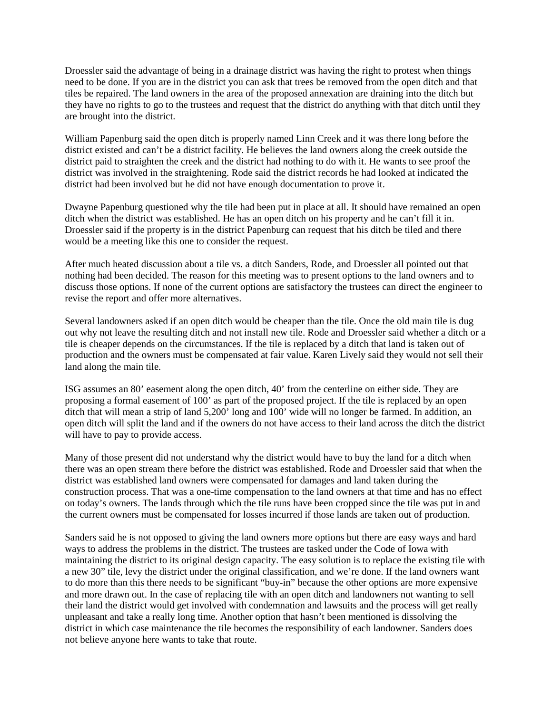Droessler said the advantage of being in a drainage district was having the right to protest when things need to be done. If you are in the district you can ask that trees be removed from the open ditch and that tiles be repaired. The land owners in the area of the proposed annexation are draining into the ditch but they have no rights to go to the trustees and request that the district do anything with that ditch until they are brought into the district.

William Papenburg said the open ditch is properly named Linn Creek and it was there long before the district existed and can't be a district facility. He believes the land owners along the creek outside the district paid to straighten the creek and the district had nothing to do with it. He wants to see proof the district was involved in the straightening. Rode said the district records he had looked at indicated the district had been involved but he did not have enough documentation to prove it.

Dwayne Papenburg questioned why the tile had been put in place at all. It should have remained an open ditch when the district was established. He has an open ditch on his property and he can't fill it in. Droessler said if the property is in the district Papenburg can request that his ditch be tiled and there would be a meeting like this one to consider the request.

After much heated discussion about a tile vs. a ditch Sanders, Rode, and Droessler all pointed out that nothing had been decided. The reason for this meeting was to present options to the land owners and to discuss those options. If none of the current options are satisfactory the trustees can direct the engineer to revise the report and offer more alternatives.

Several landowners asked if an open ditch would be cheaper than the tile. Once the old main tile is dug out why not leave the resulting ditch and not install new tile. Rode and Droessler said whether a ditch or a tile is cheaper depends on the circumstances. If the tile is replaced by a ditch that land is taken out of production and the owners must be compensated at fair value. Karen Lively said they would not sell their land along the main tile.

ISG assumes an 80' easement along the open ditch, 40' from the centerline on either side. They are proposing a formal easement of 100' as part of the proposed project. If the tile is replaced by an open ditch that will mean a strip of land 5,200' long and 100' wide will no longer be farmed. In addition, an open ditch will split the land and if the owners do not have access to their land across the ditch the district will have to pay to provide access.

Many of those present did not understand why the district would have to buy the land for a ditch when there was an open stream there before the district was established. Rode and Droessler said that when the district was established land owners were compensated for damages and land taken during the construction process. That was a one-time compensation to the land owners at that time and has no effect on today's owners. The lands through which the tile runs have been cropped since the tile was put in and the current owners must be compensated for losses incurred if those lands are taken out of production.

Sanders said he is not opposed to giving the land owners more options but there are easy ways and hard ways to address the problems in the district. The trustees are tasked under the Code of Iowa with maintaining the district to its original design capacity. The easy solution is to replace the existing tile with a new 30" tile, levy the district under the original classification, and we're done. If the land owners want to do more than this there needs to be significant "buy-in" because the other options are more expensive and more drawn out. In the case of replacing tile with an open ditch and landowners not wanting to sell their land the district would get involved with condemnation and lawsuits and the process will get really unpleasant and take a really long time. Another option that hasn't been mentioned is dissolving the district in which case maintenance the tile becomes the responsibility of each landowner. Sanders does not believe anyone here wants to take that route.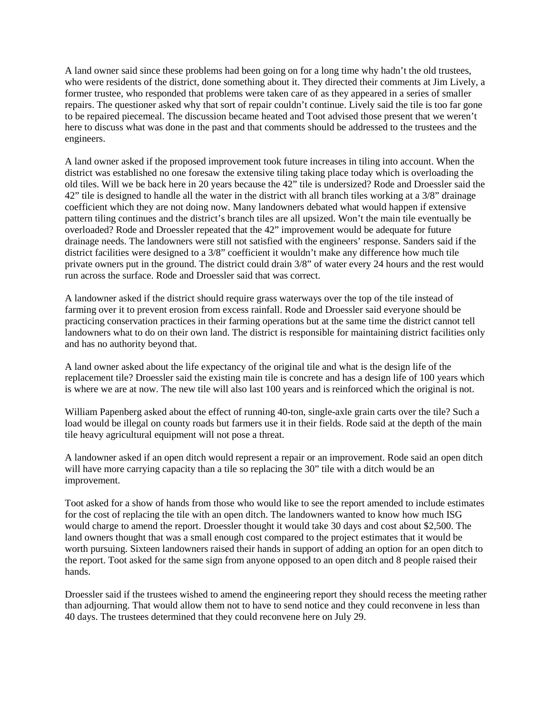A land owner said since these problems had been going on for a long time why hadn't the old trustees, who were residents of the district, done something about it. They directed their comments at Jim Lively, a former trustee, who responded that problems were taken care of as they appeared in a series of smaller repairs. The questioner asked why that sort of repair couldn't continue. Lively said the tile is too far gone to be repaired piecemeal. The discussion became heated and Toot advised those present that we weren't here to discuss what was done in the past and that comments should be addressed to the trustees and the engineers.

A land owner asked if the proposed improvement took future increases in tiling into account. When the district was established no one foresaw the extensive tiling taking place today which is overloading the old tiles. Will we be back here in 20 years because the 42" tile is undersized? Rode and Droessler said the 42" tile is designed to handle all the water in the district with all branch tiles working at a 3/8" drainage coefficient which they are not doing now. Many landowners debated what would happen if extensive pattern tiling continues and the district's branch tiles are all upsized. Won't the main tile eventually be overloaded? Rode and Droessler repeated that the 42" improvement would be adequate for future drainage needs. The landowners were still not satisfied with the engineers' response. Sanders said if the district facilities were designed to a 3/8" coefficient it wouldn't make any difference how much tile private owners put in the ground. The district could drain 3/8" of water every 24 hours and the rest would run across the surface. Rode and Droessler said that was correct.

A landowner asked if the district should require grass waterways over the top of the tile instead of farming over it to prevent erosion from excess rainfall. Rode and Droessler said everyone should be practicing conservation practices in their farming operations but at the same time the district cannot tell landowners what to do on their own land. The district is responsible for maintaining district facilities only and has no authority beyond that.

A land owner asked about the life expectancy of the original tile and what is the design life of the replacement tile? Droessler said the existing main tile is concrete and has a design life of 100 years which is where we are at now. The new tile will also last 100 years and is reinforced which the original is not.

William Papenberg asked about the effect of running 40-ton, single-axle grain carts over the tile? Such a load would be illegal on county roads but farmers use it in their fields. Rode said at the depth of the main tile heavy agricultural equipment will not pose a threat.

A landowner asked if an open ditch would represent a repair or an improvement. Rode said an open ditch will have more carrying capacity than a tile so replacing the 30" tile with a ditch would be an improvement.

Toot asked for a show of hands from those who would like to see the report amended to include estimates for the cost of replacing the tile with an open ditch. The landowners wanted to know how much ISG would charge to amend the report. Droessler thought it would take 30 days and cost about \$2,500. The land owners thought that was a small enough cost compared to the project estimates that it would be worth pursuing. Sixteen landowners raised their hands in support of adding an option for an open ditch to the report. Toot asked for the same sign from anyone opposed to an open ditch and 8 people raised their hands.

Droessler said if the trustees wished to amend the engineering report they should recess the meeting rather than adjourning. That would allow them not to have to send notice and they could reconvene in less than 40 days. The trustees determined that they could reconvene here on July 29.